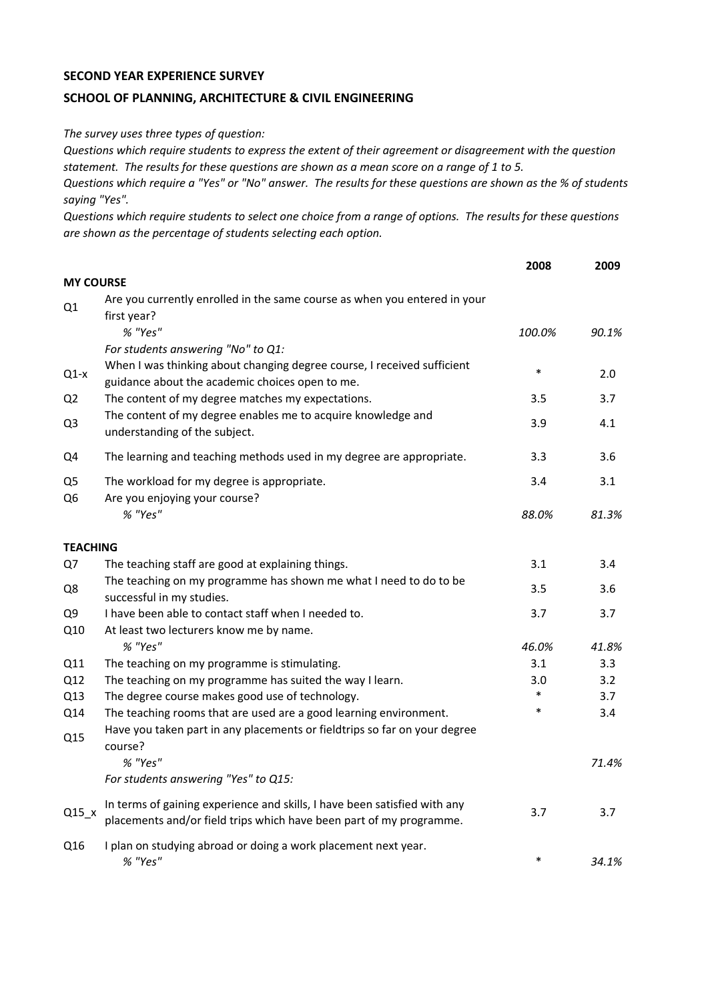## **SECOND YEAR EXPERIENCE SURVEY**

## **SCHOOL OF PLANNING, ARCHITECTURE & CIVIL ENGINEERING**

*The survey uses three types of question:*

*Questions which require students to express the extent of their agreement or disagreement with the question statement. The results for these questions are shown as a mean score on a range of 1 to 5.*

*Questions which require a "Yes" or "No" answer. The results for these questions are shown as the % of students saying "Yes".*

*Questions which require students to select one choice from a range of options. The results for these questions are shown as the percentage of students selecting each option.*

|                                  |                                                                                                                                                  | 2008   | 2009  |
|----------------------------------|--------------------------------------------------------------------------------------------------------------------------------------------------|--------|-------|
| <b>MY COURSE</b>                 |                                                                                                                                                  |        |       |
| Q1                               | Are you currently enrolled in the same course as when you entered in your<br>first year?                                                         |        |       |
|                                  | % "Yes"                                                                                                                                          | 100.0% | 90.1% |
|                                  | For students answering "No" to Q1:                                                                                                               |        |       |
| $Q1-x$                           | When I was thinking about changing degree course, I received sufficient<br>guidance about the academic choices open to me.                       | $\ast$ | 2.0   |
| Q <sub>2</sub>                   | The content of my degree matches my expectations.                                                                                                | 3.5    | 3.7   |
| Q <sub>3</sub>                   | The content of my degree enables me to acquire knowledge and<br>understanding of the subject.                                                    | 3.9    | 4.1   |
| Q4                               | The learning and teaching methods used in my degree are appropriate.                                                                             | 3.3    | 3.6   |
| Q <sub>5</sub><br>Q <sub>6</sub> | The workload for my degree is appropriate.<br>Are you enjoying your course?<br>% "Yes"                                                           | 3.4    | 3.1   |
|                                  |                                                                                                                                                  | 88.0%  | 81.3% |
| <b>TEACHING</b>                  |                                                                                                                                                  |        |       |
| Q7                               | The teaching staff are good at explaining things.                                                                                                | 3.1    | 3.4   |
| Q8                               | The teaching on my programme has shown me what I need to do to be<br>successful in my studies.                                                   | 3.5    | 3.6   |
| Q <sub>9</sub>                   | I have been able to contact staff when I needed to.                                                                                              | 3.7    | 3.7   |
| Q10                              | At least two lecturers know me by name.                                                                                                          |        |       |
|                                  | % "Yes"                                                                                                                                          | 46.0%  | 41.8% |
| Q11                              | The teaching on my programme is stimulating.                                                                                                     | 3.1    | 3.3   |
| Q12                              | The teaching on my programme has suited the way I learn.                                                                                         | 3.0    | 3.2   |
| Q13                              | The degree course makes good use of technology.                                                                                                  | *      | 3.7   |
| Q14                              | The teaching rooms that are used are a good learning environment.                                                                                | $\ast$ | 3.4   |
| Q15                              | Have you taken part in any placements or fieldtrips so far on your degree<br>course?                                                             |        |       |
|                                  | % "Yes"                                                                                                                                          |        | 71.4% |
|                                  | For students answering "Yes" to Q15:                                                                                                             |        |       |
| $Q15_x$                          | In terms of gaining experience and skills, I have been satisfied with any<br>placements and/or field trips which have been part of my programme. | 3.7    | 3.7   |
| Q16                              | I plan on studying abroad or doing a work placement next year.<br>% "Yes"                                                                        | $\ast$ | 34.1% |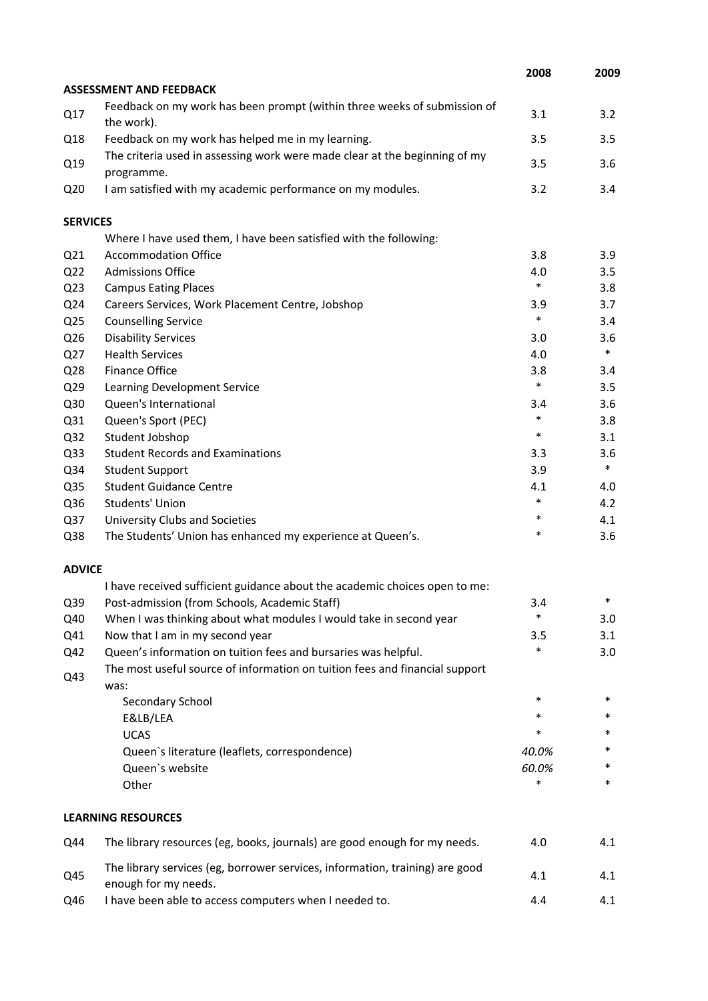|                 |                                                                                                      | 2008   | 2009   |
|-----------------|------------------------------------------------------------------------------------------------------|--------|--------|
|                 | <b>ASSESSMENT AND FEEDBACK</b>                                                                       |        |        |
| Q17             | Feedback on my work has been prompt (within three weeks of submission of<br>the work).               | 3.1    | 3.2    |
| Q18             | Feedback on my work has helped me in my learning.                                                    | 3.5    | 3.5    |
| Q19             | The criteria used in assessing work were made clear at the beginning of my<br>programme.             | 3.5    | 3.6    |
| Q <sub>20</sub> | I am satisfied with my academic performance on my modules.                                           | 3.2    | 3.4    |
| <b>SERVICES</b> |                                                                                                      |        |        |
|                 | Where I have used them, I have been satisfied with the following:                                    |        |        |
| Q <sub>21</sub> | <b>Accommodation Office</b>                                                                          | 3.8    | 3.9    |
| Q <sub>22</sub> | <b>Admissions Office</b>                                                                             | 4.0    | 3.5    |
| Q <sub>23</sub> | <b>Campus Eating Places</b>                                                                          | $\ast$ | 3.8    |
| Q24             | Careers Services, Work Placement Centre, Jobshop                                                     | 3.9    | 3.7    |
| Q <sub>25</sub> | <b>Counselling Service</b>                                                                           | $\ast$ | 3.4    |
| Q26             | <b>Disability Services</b>                                                                           | 3.0    | 3.6    |
| Q27             | <b>Health Services</b>                                                                               | 4.0    | $\ast$ |
| Q28             | <b>Finance Office</b>                                                                                | 3.8    | 3.4    |
| Q29             | Learning Development Service                                                                         | $\ast$ | 3.5    |
| Q30             | Queen's International                                                                                | 3.4    | 3.6    |
| Q31             | Queen's Sport (PEC)                                                                                  | $\ast$ | 3.8    |
| Q <sub>32</sub> | Student Jobshop                                                                                      | $\ast$ | 3.1    |
| Q <sub>33</sub> | <b>Student Records and Examinations</b>                                                              | 3.3    | 3.6    |
| Q34             | <b>Student Support</b>                                                                               | 3.9    | $\ast$ |
| Q35             | <b>Student Guidance Centre</b>                                                                       | 4.1    | 4.0    |
| Q36             | Students' Union                                                                                      | $\ast$ | 4.2    |
| Q37             | University Clubs and Societies                                                                       | $\ast$ | 4.1    |
| Q38             | The Students' Union has enhanced my experience at Queen's.                                           | *      | 3.6    |
| <b>ADVICE</b>   |                                                                                                      |        |        |
|                 | I have received sufficient guidance about the academic choices open to me:                           |        |        |
| Q39             | Post-admission (from Schools, Academic Staff)                                                        | 3.4    | ж      |
| Q40             | When I was thinking about what modules I would take in second year                                   | $\ast$ | 3.0    |
| Q41             | Now that I am in my second year                                                                      | 3.5    | 3.1    |
| Q42             | Queen's information on tuition fees and bursaries was helpful.                                       | $\ast$ | 3.0    |
| Q43             | The most useful source of information on tuition fees and financial support<br>was:                  |        |        |
|                 | Secondary School                                                                                     | *      | $\ast$ |
|                 | E&LB/LEA                                                                                             | *      | *      |
|                 | <b>UCAS</b>                                                                                          | *      | *      |
|                 | Queen's literature (leaflets, correspondence)                                                        | 40.0%  | *      |
|                 | Queen's website                                                                                      | 60.0%  | *      |
|                 | Other                                                                                                | $\ast$ | $\ast$ |
|                 | <b>LEARNING RESOURCES</b>                                                                            |        |        |
| Q44             | The library resources (eg, books, journals) are good enough for my needs.                            | 4.0    | 4.1    |
| Q45             | The library services (eg, borrower services, information, training) are good<br>enough for my needs. | 4.1    | 4.1    |
| Q46             | I have been able to access computers when I needed to.                                               | 4.4    | 4.1    |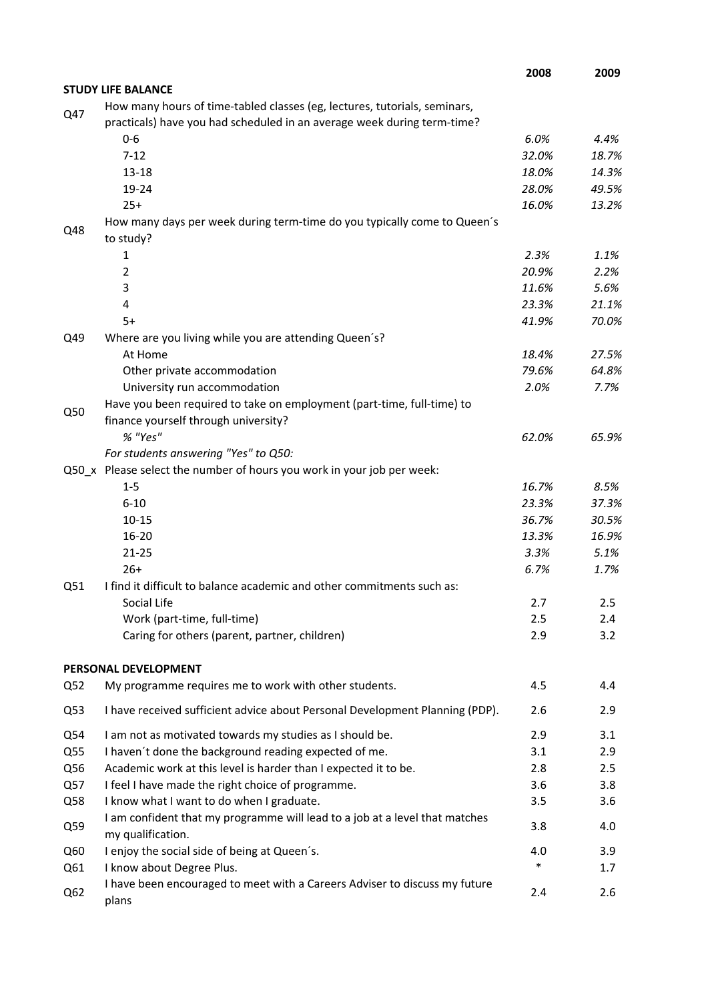|            |                                                                                                                                                      | 2008           | 2009          |
|------------|------------------------------------------------------------------------------------------------------------------------------------------------------|----------------|---------------|
|            | <b>STUDY LIFE BALANCE</b>                                                                                                                            |                |               |
| Q47        | How many hours of time-tabled classes (eg, lectures, tutorials, seminars,<br>practicals) have you had scheduled in an average week during term-time? |                |               |
|            | $0 - 6$                                                                                                                                              | 6.0%           | 4.4%          |
|            | $7 - 12$                                                                                                                                             | 32.0%          | 18.7%         |
|            | $13 - 18$                                                                                                                                            | 18.0%          | 14.3%         |
|            | 19-24                                                                                                                                                | 28.0%          | 49.5%         |
|            | $25+$                                                                                                                                                | 16.0%          | 13.2%         |
| Q48        | How many days per week during term-time do you typically come to Queen's<br>to study?                                                                |                |               |
|            | 1                                                                                                                                                    | 2.3%           | 1.1%          |
|            | $\overline{2}$                                                                                                                                       | 20.9%          | 2.2%          |
|            | 3                                                                                                                                                    | 11.6%          | 5.6%          |
|            | 4                                                                                                                                                    | 23.3%          | 21.1%         |
|            | $5+$                                                                                                                                                 | 41.9%          | 70.0%         |
| Q49        | Where are you living while you are attending Queen's?                                                                                                |                |               |
|            | At Home                                                                                                                                              | 18.4%          | 27.5%         |
|            | Other private accommodation                                                                                                                          | 79.6%          | 64.8%         |
|            | University run accommodation                                                                                                                         | 2.0%           | 7.7%          |
| Q50        | Have you been required to take on employment (part-time, full-time) to                                                                               |                |               |
|            | finance yourself through university?                                                                                                                 |                |               |
|            | % "Yes"                                                                                                                                              | 62.0%          | 65.9%         |
|            | For students answering "Yes" to Q50:                                                                                                                 |                |               |
|            | Q50_x Please select the number of hours you work in your job per week:                                                                               |                |               |
|            | $1 - 5$<br>$6 - 10$                                                                                                                                  | 16.7%<br>23.3% | 8.5%<br>37.3% |
|            | $10 - 15$                                                                                                                                            | 36.7%          | 30.5%         |
|            | $16 - 20$                                                                                                                                            | 13.3%          | 16.9%         |
|            | $21 - 25$                                                                                                                                            | 3.3%           | 5.1%          |
|            | $26+$                                                                                                                                                | 6.7%           | 1.7%          |
| Q51        | I find it difficult to balance academic and other commitments such as:                                                                               |                |               |
|            | Social Life                                                                                                                                          | 2.7            | 2.5           |
|            | Work (part-time, full-time)                                                                                                                          | 2.5            | 2.4           |
|            | Caring for others (parent, partner, children)                                                                                                        | 2.9            | 3.2           |
|            | PERSONAL DEVELOPMENT                                                                                                                                 |                |               |
| Q52        | My programme requires me to work with other students.                                                                                                | 4.5            | 4.4           |
| Q53        | I have received sufficient advice about Personal Development Planning (PDP).                                                                         | 2.6            | 2.9           |
|            | I am not as motivated towards my studies as I should be.                                                                                             |                | 3.1           |
| Q54        | I haven't done the background reading expected of me.                                                                                                | 2.9<br>3.1     | 2.9           |
| Q55<br>Q56 | Academic work at this level is harder than I expected it to be.                                                                                      | 2.8            | 2.5           |
| Q57        | I feel I have made the right choice of programme.                                                                                                    | 3.6            | 3.8           |
| Q58        | I know what I want to do when I graduate.                                                                                                            | 3.5            | 3.6           |
|            | I am confident that my programme will lead to a job at a level that matches                                                                          |                |               |
| Q59        | my qualification.                                                                                                                                    | 3.8            | 4.0           |
| Q60        | I enjoy the social side of being at Queen's.                                                                                                         | 4.0            | 3.9           |
| Q61        | I know about Degree Plus.                                                                                                                            | $\ast$         | 1.7           |
| Q62        | I have been encouraged to meet with a Careers Adviser to discuss my future<br>plans                                                                  | 2.4            | 2.6           |